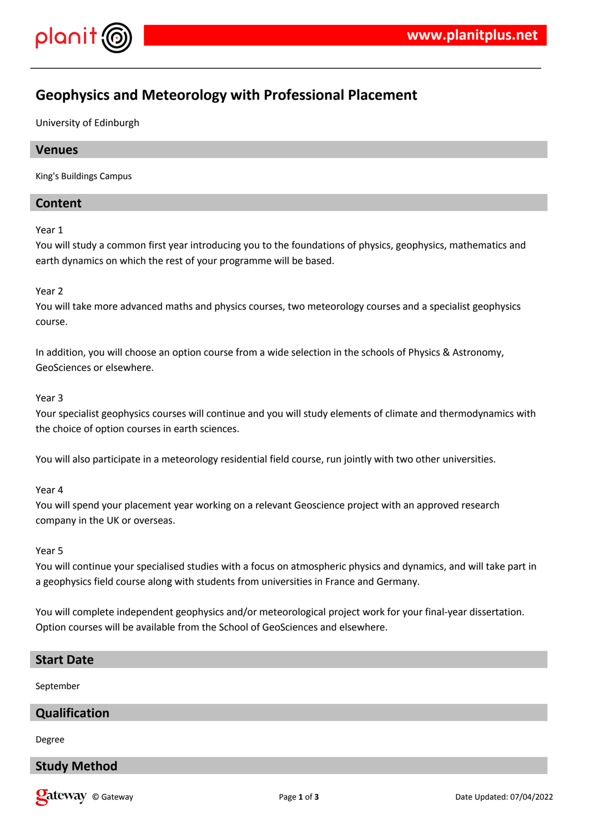

# **Geophysics and Meteorology with Professional Placement**

University of Edinburgh

## **Venues**

King's Buildings Campus

## **Content**

Year 1

You will study a common first year introducing you to the foundations of physics, geophysics, mathematics and earth dynamics on which the rest of your programme will be based.

#### Year 2

You will take more advanced maths and physics courses, two meteorology courses and a specialist geophysics course.

In addition, you will choose an option course from a wide selection in the schools of Physics & Astronomy, GeoSciences or elsewhere.

#### Year 3

Your specialist geophysics courses will continue and you will study elements of climate and thermodynamics with the choice of option courses in earth sciences.

You will also participate in a meteorology residential field course, run jointly with two other universities.

Year 4

You will spend your placement year working on a relevant Geoscience project with an approved research company in the UK or overseas.

Year 5

You will continue your specialised studies with a focus on atmospheric physics and dynamics, and will take part in a geophysics field course along with students from universities in France and Germany.

You will complete independent geophysics and/or meteorological project work for your final-year dissertation. Option courses will be available from the School of GeoSciences and elsewhere.

#### **Start Date**

September

## **Qualification**

Degree

# **Study Method**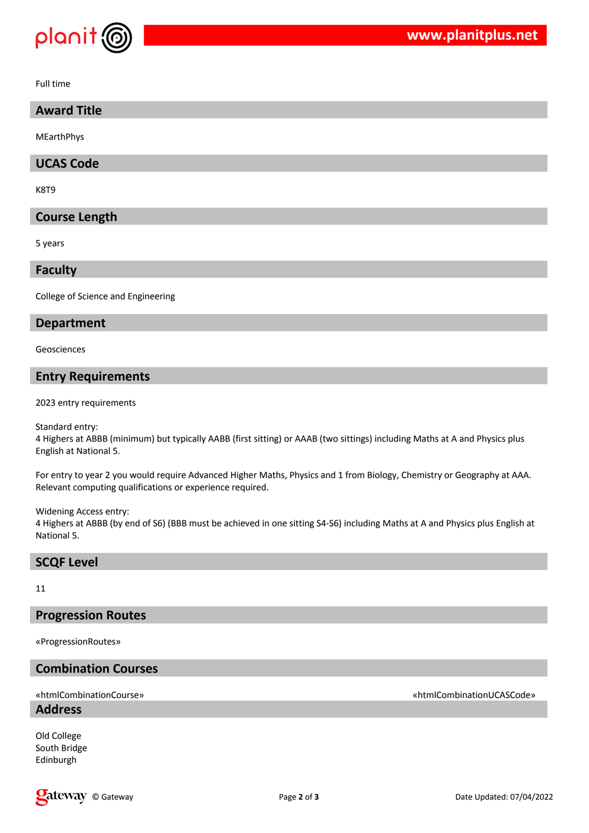

Full time

## **Award Title**

MEarthPhys

## **UCAS Code**

K8T9

## **Course Length**

5 years

#### **Faculty**

College of Science and Engineering

#### **Department**

Geosciences

## **Entry Requirements**

2023 entry requirements

Standard entry:

4 Highers at ABBB (minimum) but typically AABB (first sitting) or AAAB (two sittings) including Maths at A and Physics plus English at National 5.

For entry to year 2 you would require Advanced Higher Maths, Physics and 1 from Biology, Chemistry or Geography at AAA. Relevant computing qualifications or experience required.

Widening Access entry:

4 Highers at ABBB (by end of S6) (BBB must be achieved in one sitting S4-S6) including Maths at A and Physics plus English at National 5.

#### **SCQF Level**

#### 11

## **Progression Routes**

«ProgressionRoutes»

# **Combination Courses**

#### **Address**

Old College South Bridge Edinburgh

«htmlCombinationCourse» «htmlCombinationUCASCode»